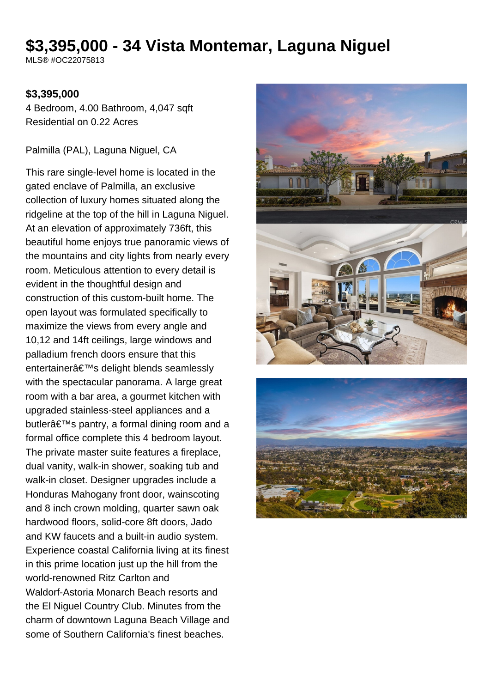# **\$3,395,000 - 34 Vista Montemar, Laguna Niguel**

MLS® #OC22075813

#### **\$3,395,000**

4 Bedroom, 4.00 Bathroom, 4,047 sqft Residential on 0.22 Acres

Palmilla (PAL), Laguna Niguel, CA

This rare single-level home is located in the gated enclave of Palmilla, an exclusive collection of luxury homes situated along the ridgeline at the top of the hill in Laguna Niguel. At an elevation of approximately 736ft, this beautiful home enjoys true panoramic views of the mountains and city lights from nearly every room. Meticulous attention to every detail is evident in the thoughtful design and construction of this custom-built home. The open layout was formulated specifically to maximize the views from every angle and 10,12 and 14ft ceilings, large windows and palladium french doors ensure that this entertainer's delight blends seamlessly with the spectacular panorama. A large great room with a bar area, a gourmet kitchen with upgraded stainless-steel appliances and a butlerâ€<sup>™</sup>s pantry, a formal dining room and a formal office complete this 4 bedroom layout. The private master suite features a fireplace, dual vanity, walk-in shower, soaking tub and walk-in closet. Designer upgrades include a Honduras Mahogany front door, wainscoting and 8 inch crown molding, quarter sawn oak hardwood floors, solid-core 8ft doors, Jado and KW faucets and a built-in audio system. Experience coastal California living at its finest in this prime location just up the hill from the world-renowned Ritz Carlton and Waldorf-Astoria Monarch Beach resorts and the El Niguel Country Club. Minutes from the charm of downtown Laguna Beach Village and some of Southern California's finest beaches.



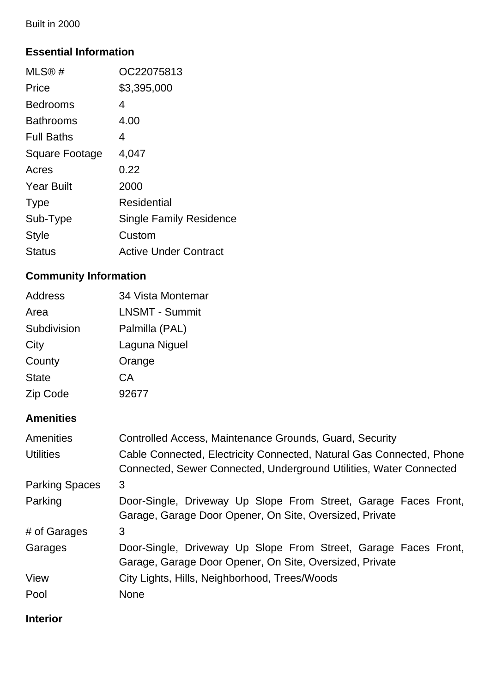Built in 2000

### **Essential Information**

| MLS®#                 | OC22075813                     |
|-----------------------|--------------------------------|
| Price                 | \$3,395,000                    |
| <b>Bedrooms</b>       | 4                              |
| <b>Bathrooms</b>      | 4.00                           |
| <b>Full Baths</b>     | 4                              |
| <b>Square Footage</b> | 4,047                          |
| Acres                 | 0.22                           |
| <b>Year Built</b>     | 2000                           |
| <b>Type</b>           | Residential                    |
| Sub-Type              | <b>Single Family Residence</b> |
| Style                 | Custom                         |
| Status                | <b>Active Under Contract</b>   |

## **Community Information**

| <b>Address</b> | 34 Vista Montemar     |
|----------------|-----------------------|
| Area           | <b>LNSMT - Summit</b> |
| Subdivision    | Palmilla (PAL)        |
| City           | Laguna Niguel         |
| County         | Orange                |
| <b>State</b>   | СA                    |
| Zip Code       | 92677                 |

### **Amenities**

| Amenities             | Controlled Access, Maintenance Grounds, Guard, Security                                                                                    |  |
|-----------------------|--------------------------------------------------------------------------------------------------------------------------------------------|--|
| <b>Utilities</b>      | Cable Connected, Electricity Connected, Natural Gas Connected, Phone<br>Connected, Sewer Connected, Underground Utilities, Water Connected |  |
| <b>Parking Spaces</b> | 3                                                                                                                                          |  |
| Parking               | Door-Single, Driveway Up Slope From Street, Garage Faces Front,<br>Garage, Garage Door Opener, On Site, Oversized, Private                 |  |
| # of Garages          | 3                                                                                                                                          |  |
| Garages               | Door-Single, Driveway Up Slope From Street, Garage Faces Front,<br>Garage, Garage Door Opener, On Site, Oversized, Private                 |  |
| View                  | City Lights, Hills, Neighborhood, Trees/Woods                                                                                              |  |
| Pool                  | <b>None</b>                                                                                                                                |  |

**Interior**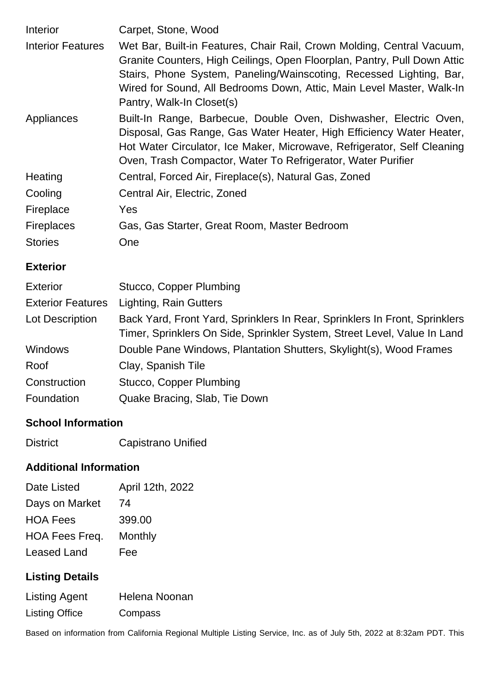| <b>Interior</b>          | Carpet, Stone, Wood                                                                                                                                                                                                                                                                                                             |
|--------------------------|---------------------------------------------------------------------------------------------------------------------------------------------------------------------------------------------------------------------------------------------------------------------------------------------------------------------------------|
| <b>Interior Features</b> | Wet Bar, Built-in Features, Chair Rail, Crown Molding, Central Vacuum,<br>Granite Counters, High Ceilings, Open Floorplan, Pantry, Pull Down Attic<br>Stairs, Phone System, Paneling/Wainscoting, Recessed Lighting, Bar,<br>Wired for Sound, All Bedrooms Down, Attic, Main Level Master, Walk-In<br>Pantry, Walk-In Closet(s) |
| Appliances               | Built-In Range, Barbecue, Double Oven, Dishwasher, Electric Oven,<br>Disposal, Gas Range, Gas Water Heater, High Efficiency Water Heater,<br>Hot Water Circulator, Ice Maker, Microwave, Refrigerator, Self Cleaning<br>Oven, Trash Compactor, Water To Refrigerator, Water Purifier                                            |
| Heating                  | Central, Forced Air, Fireplace(s), Natural Gas, Zoned                                                                                                                                                                                                                                                                           |
| Cooling                  | Central Air, Electric, Zoned                                                                                                                                                                                                                                                                                                    |
| Fireplace                | Yes                                                                                                                                                                                                                                                                                                                             |
| <b>Fireplaces</b>        | Gas, Gas Starter, Great Room, Master Bedroom                                                                                                                                                                                                                                                                                    |
| <b>Stories</b>           | One                                                                                                                                                                                                                                                                                                                             |

#### **Exterior**

| <b>Exterior</b>          | Stucco, Copper Plumbing                                                                                                                                |  |
|--------------------------|--------------------------------------------------------------------------------------------------------------------------------------------------------|--|
| <b>Exterior Features</b> | Lighting, Rain Gutters                                                                                                                                 |  |
| Lot Description          | Back Yard, Front Yard, Sprinklers In Rear, Sprinklers In Front, Sprinklers<br>Timer, Sprinklers On Side, Sprinkler System, Street Level, Value In Land |  |
| <b>Windows</b>           | Double Pane Windows, Plantation Shutters, Skylight(s), Wood Frames                                                                                     |  |
| Roof                     | Clay, Spanish Tile                                                                                                                                     |  |
| Construction             | Stucco, Copper Plumbing                                                                                                                                |  |
| Foundation               | Quake Bracing, Slab, Tie Down                                                                                                                          |  |

#### **School Information**

District Capistrano Unified

### **Additional Information**

| April 12th, 2022 |
|------------------|
| 74               |
| 399.00           |
| Monthly          |
| Fee              |
|                  |

## **Listing Details**

| <b>Listing Agent</b>  | Helena Noonan |
|-----------------------|---------------|
| <b>Listing Office</b> | Compass       |

Based on information from California Regional Multiple Listing Service, Inc. as of July 5th, 2022 at 8:32am PDT. This